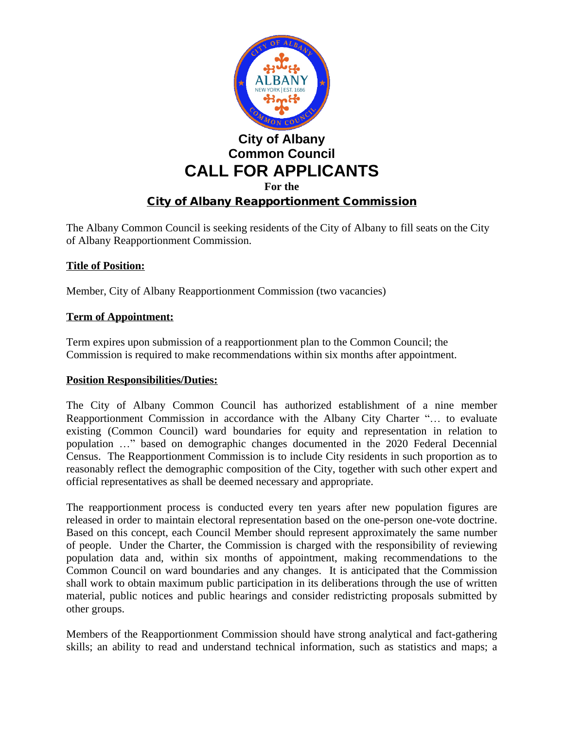

The Albany Common Council is seeking residents of the City of Albany to fill seats on the City of Albany Reapportionment Commission.

## **Title of Position:**

Member, City of Albany Reapportionment Commission (two vacancies)

## **Term of Appointment:**

Term expires upon submission of a reapportionment plan to the Common Council; the Commission is required to make recommendations within six months after appointment.

#### **Position Responsibilities/Duties:**

The City of Albany Common Council has authorized establishment of a nine member Reapportionment Commission in accordance with the Albany City Charter "… to evaluate existing (Common Council) ward boundaries for equity and representation in relation to population …" based on demographic changes documented in the 2020 Federal Decennial Census. The Reapportionment Commission is to include City residents in such proportion as to reasonably reflect the demographic composition of the City, together with such other expert and official representatives as shall be deemed necessary and appropriate.

The reapportionment process is conducted every ten years after new population figures are released in order to maintain electoral representation based on the one-person one-vote doctrine. Based on this concept, each Council Member should represent approximately the same number of people. Under the Charter, the Commission is charged with the responsibility of reviewing population data and, within six months of appointment, making recommendations to the Common Council on ward boundaries and any changes. It is anticipated that the Commission shall work to obtain maximum public participation in its deliberations through the use of written material, public notices and public hearings and consider redistricting proposals submitted by other groups.

Members of the Reapportionment Commission should have strong analytical and fact-gathering skills; an ability to read and understand technical information, such as statistics and maps; a